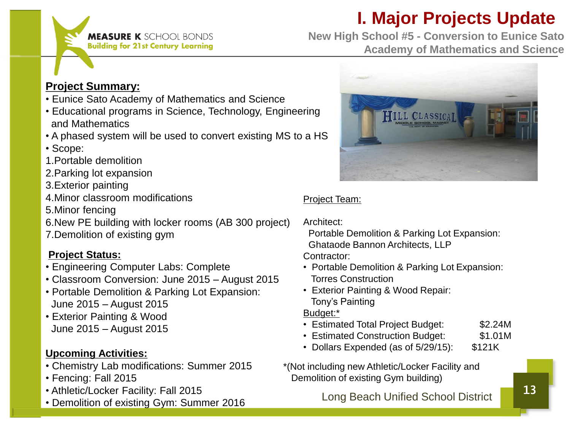## **I. Major Projects Update**

**MEASURE K** SCHOOL BONDS **Building for 21st Century Learning** 

**New High School #5 - Conversion to Eunice Sato Academy of Mathematics and Science**

#### **Project Summary:**

- Eunice Sato Academy of Mathematics and Science
- Educational programs in Science, Technology, Engineering and Mathematics
- A phased system will be used to convert existing MS to a HS
- Scope:
- 1.Portable demolition
- 2.Parking lot expansion
- 3.Exterior painting
- 4.Minor classroom modifications
- 5.Minor fencing
- 6.New PE building with locker rooms (AB 300 project)
- 7.Demolition of existing gym

#### **Project Status:**

- Engineering Computer Labs: Complete
- Classroom Conversion: June 2015 August 2015
- Portable Demolition & Parking Lot Expansion: June 2015 – August 2015
- Exterior Painting & Wood June 2015 – August 2015

#### **Upcoming Activities:**

- Chemistry Lab modifications: Summer 2015
- Fencing: Fall 2015
- Athletic/Locker Facility: Fall 2015
- Demolition of existing Gym: Summer 2016



#### Project Team:

Architect:

 Portable Demolition & Parking Lot Expansion: Ghataode Bannon Architects, LLP

Contractor:

- Portable Demolition & Parking Lot Expansion: Torres Construction
- Exterior Painting & Wood Repair: Tony's Painting

Budget:\*

- Estimated Total Project Budget: \$2.24M
- Estimated Construction Budget: \$1.01M
- Dollars Expended (as of 5/29/15): \$121K
- \*(Not including new Athletic/Locker Facility and Demolition of existing Gym building)

Long Beach Unified School District 13